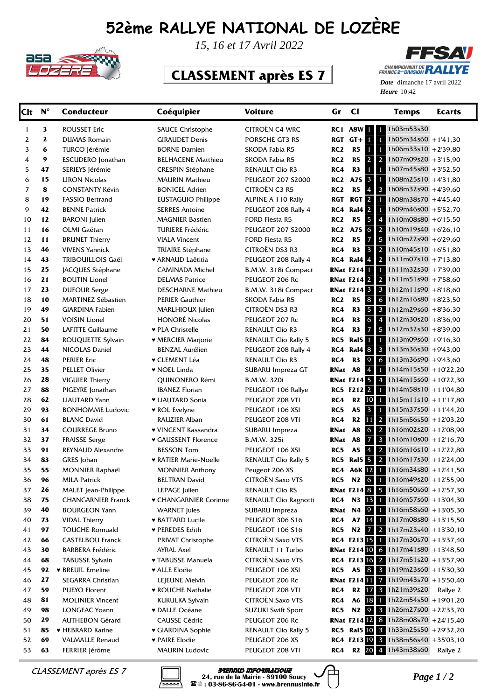## **52ème RALLYE NATIONAL DE LOZÈRE**



*15, 16 et 17 Avril 2022*

## **CLASSEMENT après ES 7**



Heure 10:42 *Date* dimanche 17 avril 2022

| <b>Clt</b> | $N^{\circ}$  | <b>Conducteur</b>                               | Coéquipier                     | <b>Voiture</b>                     | Gr              | $CI$                                  | <b>Temps</b>                                                     | <b>Ecarts</b> |
|------------|--------------|-------------------------------------------------|--------------------------------|------------------------------------|-----------------|---------------------------------------|------------------------------------------------------------------|---------------|
| 1          | 3            | <b>ROUSSET Eric</b>                             | <b>SAUCE Christophe</b>        | CITROËN C4 WRC                     | RC <sub>1</sub> | A8W                                   | 1 1h03m53s30<br>1                                                |               |
| 2          | $\mathbf{z}$ | <b>DUMAS Romain</b>                             | <b>GIRAUDET Denis</b>          | PORSCHE GT3 RS                     | <b>RGT</b>      | $GT+$<br>$\mathbf{1}$                 | $1h05m34s60 + 141,30$<br>п                                       |               |
| 3          | 6            | TURCO Jérémie                                   | <b>BORNE Damien</b>            | SKODA Fabia R5                     | RC <sub>2</sub> | R5<br>1                               | 1h06m33s10 +2'39,80<br>1                                         |               |
| 4          | 9            | <b>ESCUDERO</b> Jonathan                        | <b>BELHACENE Matthieu</b>      | SKODA Fabia R5                     | RC <sub>2</sub> | R5<br>$\overline{2}$                  | $\overline{2}$<br>1h07m09s20 +3'15,90                            |               |
| 5          | 47           | SERIEYS Jérémie                                 | <b>CRESPIN Stéphane</b>        | <b>RENAULT Clio R3</b>             | RC4             | R <sub>3</sub><br>$\mathbf{1}$        | 1h07m45s80 +3'52,50<br>1                                         |               |
| 6          | 15           | <b>LIRON Nicolas</b>                            | <b>MAURIN Mathieu</b>          | <b>PEUGEOT 207 S2000</b>           | RC <sub>2</sub> | $\overline{\mathbf{3}}$<br><b>A7S</b> | 1h08m25s10 +4'31,80<br>П                                         |               |
| 7          | 8            | <b>CONSTANTY Kévin</b>                          | <b>BONICEL Adrien</b>          | <b>CITROËN C3 R5</b>               | RC <sub>2</sub> | R5<br>4                               | 1h08m32s90 +4'39,60<br>$\mathbf{3}$                              |               |
| 8          | 19           | <b>FASSIO Bertrand</b>                          | EUSTAGUIO Philippe             | ALPINE A 110 Rally                 | <b>RGT</b>      | <b>RGT</b><br>$\mathbf{2}$            | 1h08m38s70 +4'45,40<br>1                                         |               |
| 9          | 42           | <b>BENNE Patrick</b>                            | <b>SERRES Antoine</b>          | PEUGEOT 208 Rally 4                | RC4             | <b>Ral4</b> 2                         | 1h09m46s00 +5'52,70<br>1                                         |               |
| 10         | 12           | <b>BARONI</b> Julien                            | <b>MAGNIER Bastien</b>         | FORD Fiesta R5                     | RC <sub>2</sub> | 5<br>R5                               | 1h10m08s80 +6'15,50<br>$\overline{4}$                            |               |
| 11         | 16           | OLMI Gaëtan                                     | <b>TURIERE Frédéric</b>        | <b>PEUGEOT 207 S2000</b>           | RC <sub>2</sub> | <b>A7S</b><br>6                       | 1h10m19s40 +6'26,10<br>2                                         |               |
| 12         | 11           | <b>BRUNET Thierry</b>                           | <b>VIALA Vincent</b>           | <b>FORD Fiesta R5</b>              | RC <sub>2</sub> | R5<br>$\overline{7}$                  | 1h10m22s90 +6'29,60<br>5                                         |               |
| 13         | 46           | <b>VIVENS Yannick</b>                           | <b>TRIAIRE Stéphane</b>        | CITROËN DS3 R3                     | RC4             | 3<br>R3                               | $\overline{2}$<br>$1h10m45s10$ +6'51,80                          |               |
| 14         | 43           | <b>TRIBOUILLOIS Gaël</b>                        | ♥ ARNAUD Laëtitia              | PEUGEOT 208 Rally 4                | RC4             | Ral4 <sup>4</sup>                     | $\overline{2}$<br>1h11m07s10 + 7'13,80                           |               |
| 15         | 25           | JACQUES Stéphane                                | CAMINADA Michel                | B.M.W. 318i Compact                |                 | <b>RNat F214</b>                      | $1h11m32s30 + 7'39,00$<br>$\mathbf{1}$                           |               |
| 16         | 21           | <b>BOUTIN Lionel</b>                            | <b>DELMAS Patrice</b>          | PEUGEOT 206 Rc                     |                 | <b>RNat F214 2</b>                    | $\overline{2}$<br>$1h11m51s90 + 758,60$                          |               |
| 17         | 23           | <b>DUFOUR Serge</b>                             | <b>DESCHARNE Mathieu</b>       | B.M.W. 318i Compact                |                 | <b>RNat F214 3</b>                    | $\mathbf{3}$<br>$1h12m11s90 + 818,60$                            |               |
| 18         | 10           | <b>MARTINEZ Sébastien</b>                       | <b>PERIER Gauthier</b>         | <b>SKODA Fabia R5</b>              | RC <sub>2</sub> | 8<br>R <sub>5</sub>                   | 6<br>$1h12m16s80 + 8'23,50$                                      |               |
| 19         | 49           | <b>GIARDINA Fabien</b>                          | MARLHIOUX Julien               | CITROËN DS3 R3                     | RC4             | 5<br>R3                               | $\mathbf{3}$<br>1h12m29s60 +8'36,30                              |               |
| 20         | 51           | <b>VOISIN Lionel</b>                            | <b>HONORÉ Nicolas</b>          | PEUGEOT 207 Rc                     | RC4             | 6<br>R <sub>3</sub>                   | $\overline{4}$<br>1h12m30s20 +8'36.90                            |               |
| 21         | 50           | LAFITTE Guillaume                               | ♥ PLA Christelle               | <b>RENAULT Clio R3</b>             | RC4             | $\overline{7}$<br>R <sub>3</sub>      | 5 1h12m32s30 +8'39,00                                            |               |
| 22         | 84           | ROUQUETTE Sylvain                               | ♥ MERCIER Marjorie             | <b>RENAULT Clio Rally 5</b>        | RC5             | $\mathbf{1}$<br>Ral5                  | 1h13m09s60 +9'16,30<br>$\mathbf{1}$                              |               |
| 23         | 44           | NICOLAS Daniel                                  | <b>BENZAL Aurélien</b>         | PEUGEOT 208 Rally 4                | RC4             | <b>Ral4 8</b>                         | $\overline{\mathbf{3}}$<br>$1h13m36s30 + 943,00$                 |               |
| 24         | 48           | <b>PERIER Eric</b>                              | <b>v</b> CLEMENT Léa           | <b>RENAULT Clio R3</b>             | RC4             | 9<br>R <sub>3</sub>                   | 6<br>$1h13m36s90 + 943,60$                                       |               |
| 25         | 35           | <b>PELLET Olivier</b>                           | • NOEL Linda                   | SUBARU Impreza GT                  | RNat            | <b>A8</b><br>4                        | $1h14m15s50 + 1022,20$<br>$\mathbf{1}$                           |               |
| 26         | 28           | <b>VIGUIER Thierry</b>                          | QUINONERO Rémi                 | B.M.W. 320i                        |                 | RNat F214 5 4                         | $1h14m15s60 + 10'22,30$                                          |               |
| 27         | 88           | PIGEYRE Jonathan                                | <b>IBANEZ Florian</b>          | PEUGEOT 106 Rallye                 |                 | <b>RC5 F2122</b>                      | $1 h14m58s10 + 1104.80$                                          |               |
| 28<br>29   | 62<br>93     | <b>LIAUTARD Yann</b><br><b>BONHOMME Ludovic</b> | • LIAUTARD Sonia               | PEUGEOT 208 VTI                    | RC4<br>RC5      | R <sub>2</sub> 10<br>$\vert$ 3<br>A5  | $1$ 1h15m11s10 +11'17,80<br>1h15m37s50 +11'44,20<br>$\mathbf{1}$ |               |
| 30         | 61           | <b>BLANC David</b>                              | ♥ ROL Evelyne<br>RAUZIER Alban | PEUGEOT 106 XSI<br>PEUGEOT 208 VTI | RC4             | R2                                    | 11 2 1h15m56s50 +12'03,20                                        |               |
| 31         | 34           | <b>COURREGE Bruno</b>                           | ♥ VINCENT Kassandra            | SUBARU Impreza                     | RNat            | <b>A8</b><br>6                        | $\overline{2}$<br>1h16m02s20 +12'08,90                           |               |
| 32         | 37           | <b>FRAISSE Serge</b>                            | <b>v GAUSSENT Florence</b>     | B.M.W. 325i                        | RNat            | <b>A8</b><br>$\overline{7}$           | $\mathbf{3}$<br>$1h16m10s00 + 12'16,70$                          |               |
| 33         | 91           | <b>REYNAUD Alexandre</b>                        | <b>BESSON Tom</b>              | PEUGEOT 106 XSI                    | RC5             | A5<br>4                               | $\overline{2}$<br>$1h16m16s10 + 12'22,80$                        |               |
| 34         | 83           | GRES Johan                                      | <b>• RATIER Marie-Noelle</b>   | <b>RENAULT Clio Rally 5</b>        | RC5             |                                       | <b>Ral5</b> 5 2 1h16m17s30 +12'24,00                             |               |
| 35         | 55           | MONNIER Raphaël                                 | <b>MONNIER Anthony</b>         | Peugeot 206 XS                     | RC4             | A6K 12 1                              | $1h16m34s80 + 1241,50$                                           |               |
| 36         | 96           | <b>MILA Patrick</b>                             | <b>BELTRAN David</b>           | <b>CITROËN Saxo VTS</b>            | RC5             |                                       | N2 6 1 1h16m49s20 +12'55,90                                      |               |
| 37         | 26           | MALET Jean-Philippe                             | LEPAGE Julien                  | RENAULT Clio RS                    |                 |                                       | <b>RNat F214 8 5 1h16m50s60</b> +12'57,30                        |               |
| 38         | 75           | <b>CHANGARNIER Franck</b>                       | ♥ CHANGARNIER Corinne          | RENAULT Clio Ragnotti              | RC4             |                                       | N3 13 1 1h16m57s60 +13'04,30                                     |               |
| 39         | 40           | <b>BOURGEON Yann</b>                            | <b>WARNET</b> Jules            | SUBARU Impreza                     |                 | <b>RNat N4 9</b>                      | 1 1h16m58s60 +13'05,30                                           |               |
| 40         | 73           | <b>VIDAL Thierry</b>                            | <b>* BATTARD Lucile</b>        | PEUGEOT 306 S16                    | RC4             |                                       | A7 14 1 1h17m08s80 +13'15,50                                     |               |
| 41         | 97           | <b>TOUCHE Romuald</b>                           | ♥ PEREDES Edith                | PEUGEOT 106 S16                    | RC5             |                                       | N2 $\boxed{7}$ 2 1h17m23s40 +13'30,10                            |               |
| 42         | 66           | <b>CASTELBOU Franck</b>                         | <b>PRIVAT Christophe</b>       | <b>CITROËN Saxo VTS</b>            |                 |                                       | RC4 F213 15 1 1h17m30s70 +13'37,40                               |               |
| 43         | 30           | <b>BARBERA Frédéric</b>                         | AYRAL Axel                     | RENAULT 11 Turbo                   |                 |                                       | <b>RNat F21410</b> 6 1h17m41s80 +13'48,50                        |               |
| 44         | 68           | <b>TABUSSE Sylvain</b>                          | ♥ TABUSSE Manuela              | CITROËN Saxo VTS                   |                 |                                       | RC4 F213 16 2 1h17m51s20 +13'57,90                               |               |
| 45         | 92           | <b>* BREUIL Emeline</b>                         | <b>* ALLE Elodie</b>           | PEUGEOT 106 XSI                    | RC5             |                                       | A5 8 3 1h19m23s60 +15'30,30                                      |               |
| 46         | 27           | SEGARRA Christian                               | LEJEUNE Melvin                 | PEUGEOT 206 Rc                     |                 |                                       | <b>RNat F214 11 7</b> 1h19m43s70 +15'50,40                       |               |
| 47         | 59           | PUEYO Florent                                   | ♥ ROUCHE Nathalie              | PEUGEOT 208 VTI                    | RC4             |                                       | R2 17 3 1h21m39s20                                               | Rallye 2      |
| 48         | 81           | <b>MOLINIER Vincent</b>                         | <b>KUKULKA Sylvain</b>         | <b>CITROËN Saxo VTS</b>            | RC4             | A6 18 1                               | 1h22m54s50 +19'01,20                                             |               |
| 49         | 98           | LONGEAC Yoann                                   | ♥ DALLE Océane                 | <b>SUZUKI Swift Sport</b>          | RC5             |                                       | N2 9 3 1h26m27s00 +22'33,70                                      |               |
| 50         | 29           | <b>AUTHEBON Gérard</b>                          | <b>CAUSSE Cédric</b>           | PEUGEOT 206 Rc                     |                 |                                       | <b>RNat F21412</b> 8 1h28m08s70 +24'15,40                        |               |
| 51         | 85           | ▼ HEBRARD Karine                                | GIARDINA Sophie                | <b>RENAULT Clio Rally 5</b>        |                 |                                       | RC5 Ral5 10 3 1h33m25s50 +29'32,20                               |               |
| 52         | 69           | VALMALLE Renaud                                 | <b>v</b> PAIRE Elodie          | PEUGEOT 206 XS                     |                 |                                       | RC4 F213 19 3 1h38m56s40 +35'03,10                               |               |
| 53         | 63           | FERRIER Jérôme                                  | <b>MAURIN Ludovic</b>          | PEUGEOT 208 VTI                    | RC4             |                                       | R2 20 4 1h43m38s60                                               | Rallye 2      |



*CLASSEMENT après ES 7* **Brennus informatique**<br>24, rue de la Mairie - 89100 Soucy<br>28 : 03-86-86-54-01 - www.brennusinfo.fr